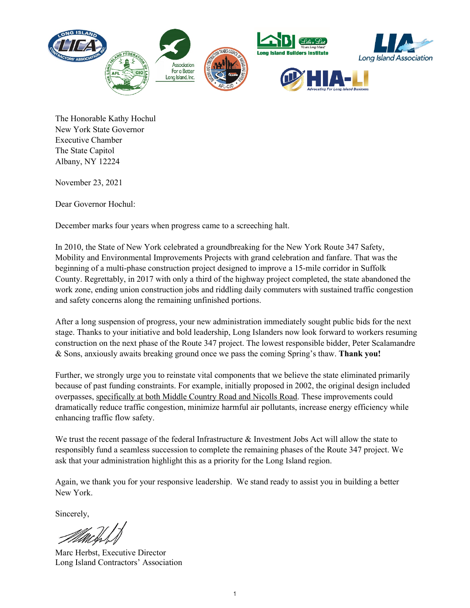

The Honorable Kathy Hochul New York State Governor Executive Chamber The State Capitol Albany, NY 12224

November 23, 2021

Dear Governor Hochul:

December marks four years when progress came to a screeching halt.

In 2010, the State of New York celebrated a groundbreaking for the New York Route 347 Safety, Mobility and Environmental Improvements Projects with grand celebration and fanfare. That was the beginning of a multi-phase construction project designed to improve a 15-mile corridor in Suffolk County. Regrettably, in 2017 with only a third of the highway project completed, the state abandoned the work zone, ending union construction jobs and riddling daily commuters with sustained traffic congestion and safety concerns along the remaining unfinished portions.

After a long suspension of progress, your new administration immediately sought public bids for the next stage. Thanks to your initiative and bold leadership, Long Islanders now look forward to workers resuming construction on the next phase of the Route 347 project. The lowest responsible bidder, Peter Scalamandre & Sons, anxiously awaits breaking ground once we pass the coming Spring's thaw. **Thank you!**

Further, we strongly urge you to reinstate vital components that we believe the state eliminated primarily because of past funding constraints. For example, initially proposed in 2002, the original design included overpasses, specifically at both Middle Country Road and Nicolls Road. These improvements could dramatically reduce traffic congestion, minimize harmful air pollutants, increase energy efficiency while enhancing traffic flow safety.

We trust the recent passage of the federal Infrastructure & Investment Jobs Act will allow the state to responsibly fund a seamless succession to complete the remaining phases of the Route 347 project. We ask that your administration highlight this as a priority for the Long Island region.

Again, we thank you for your responsive leadership. We stand ready to assist you in building a better New York.

Sincerely,

Marc Herbst, Executive Director Long Island Contractors' Association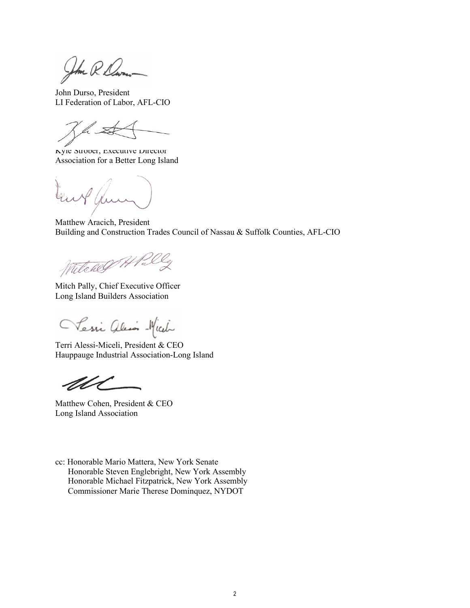Jhm R. Dav

John Durso, President LI Federation of Labor, AFL-CIO

 $\mathbb{R}$ 

Kyle Strober, Executive Director Association for a Better Long Island

Matthew Aracich, President Building and Construction Trades Council of Nassau & Suffolk Counties, AFL-CIO

Witcher Hally

Mitch Pally, Chief Executive Officer Long Island Builders Association

Tessi alis - Mich

Terri Alessi-Miceli, President & CEO Hauppauge Industrial Association-Long Island

Matthew Cohen, President & CEO Long Island Association

cc: Honorable Mario Mattera, New York Senate Honorable Steven Englebright, New York Assembly Honorable Michael Fitzpatrick, New York Assembly Commissioner Marie Therese Dominquez, NYDOT